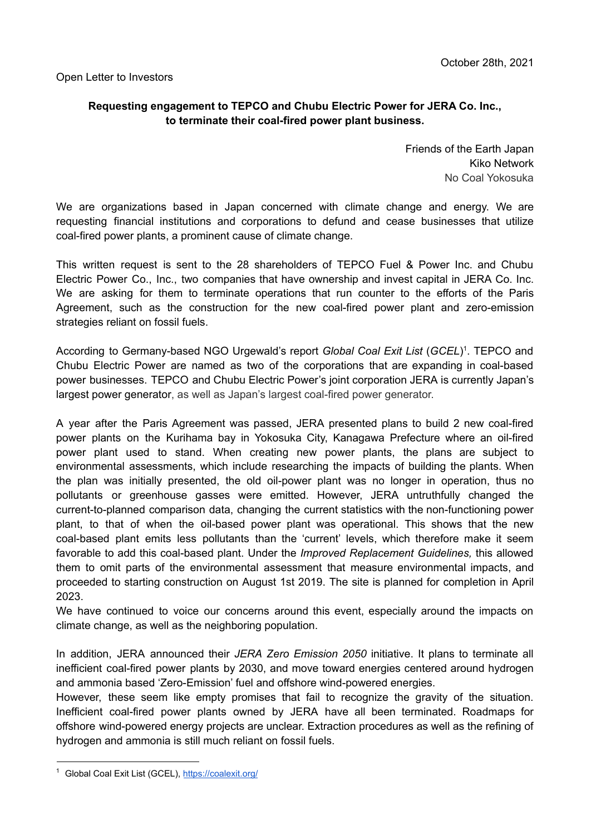## **Requesting engagement to TEPCO and Chubu Electric Power for JERA Co. Inc., to terminate their coal-fired power plant business.**

Friends of the Earth Japan Kiko Network No Coal Yokosuka

We are organizations based in Japan concerned with climate change and energy. We are requesting financial institutions and corporations to defund and cease businesses that utilize coal-fired power plants, a prominent cause of climate change.

This written request is sent to the 28 shareholders of TEPCO Fuel & Power Inc. and Chubu Electric Power Co., Inc., two companies that have ownership and invest capital in JERA Co. Inc. We are asking for them to terminate operations that run counter to the efforts of the Paris Agreement, such as the construction for the new coal-fired power plant and zero-emission strategies reliant on fossil fuels.

According to Germany-based NGO Urgewald's report *Global Coal Exit List* (*GCEL*) 1 . TEPCO and Chubu Electric Power are named as two of the corporations that are expanding in coal-based power businesses. TEPCO and Chubu Electric Power's joint corporation JERA is currently Japan's largest power generator, as well as Japan's largest coal-fired power generator.

A year after the Paris Agreement was passed, JERA presented plans to build 2 new coal-fired power plants on the Kurihama bay in Yokosuka City, Kanagawa Prefecture where an oil-fired power plant used to stand. When creating new power plants, the plans are subject to environmental assessments, which include researching the impacts of building the plants. When the plan was initially presented, the old oil-power plant was no longer in operation, thus no pollutants or greenhouse gasses were emitted. However, JERA untruthfully changed the current-to-planned comparison data, changing the current statistics with the non-functioning power plant, to that of when the oil-based power plant was operational. This shows that the new coal-based plant emits less pollutants than the 'current' levels, which therefore make it seem favorable to add this coal-based plant. Under the *Improved Replacement Guidelines,* this allowed them to omit parts of the environmental assessment that measure environmental impacts, and proceeded to starting construction on August 1st 2019. The site is planned for completion in April 2023.

We have continued to voice our concerns around this event, especially around the impacts on climate change, as well as the neighboring population.

In addition, JERA announced their *JERA Zero Emission 2050* initiative. It plans to terminate all inefficient coal-fired power plants by 2030, and move toward energies centered around hydrogen and ammonia based 'Zero-Emission' fuel and offshore wind-powered energies.

However, these seem like empty promises that fail to recognize the gravity of the situation. Inefficient coal-fired power plants owned by JERA have all been terminated. Roadmaps for offshore wind-powered energy projects are unclear. Extraction procedures as well as the refining of hydrogen and ammonia is still much reliant on fossil fuels.

<sup>1</sup> Global Coal Exit List (GCEL), <https://coalexit.org/>